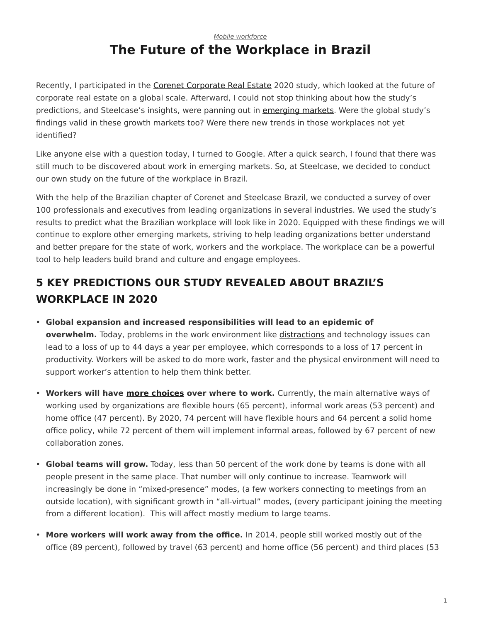## <span id="page-0-0"></span>*[Mobile workforce](https://www.steelcase.com/research/topics/mobile-workforce/)* **The Future of the Workplace in Brazil**

Recently, I participated in the [Corenet Corporate Real Estate](http://www.corenetglobal.org/Publications/content.cfm?ItemNumber=15836) 2020 study, which looked at the future of corporate real estate on a global scale. Afterward, I could not stop thinking about how the study's predictions, and Steelcase's insights, were panning out in [emerging markets](https://www.steelcase.com/insights/articles/the-growth-dilemma/). Were the global study's findings valid in these growth markets too? Were there new trends in those workplaces not yet identified?

Like anyone else with a question today, I turned to Google. After a quick search, I found that there was still much to be discovered about work in emerging markets. So, at Steelcase, we decided to conduct our own study on the future of the workplace in Brazil.

With the help of the Brazilian chapter of Corenet and Steelcase Brazil, we conducted a survey of over 100 professionals and executives from leading organizations in several industries. We used the study's results to predict what the Brazilian workplace will look like in 2020. Equipped with these findings we will continue to explore other emerging markets, striving to help leading organizations better understand and better prepare for the state of work, workers and the workplace. The workplace can be a powerful tool to help leaders build brand and culture and engage employees.

# **5 KEY PREDICTIONS OUR STUDY REVEALED ABOUT BRAZIL'S WORKPLACE IN 2020**

- **Global expansion and increased responsibilities will lead to an epidemic of overwhelm.** Today, problems in the work environment like [distractions](https://www.steelcase.com/insights/articles/designing-for-distraction/) and technology issues can lead to a loss of up to 44 days a year per employee, which corresponds to a loss of 17 percent in productivity. Workers will be asked to do more work, faster and the physical environment will need to support worker's attention to help them think better.
- **Workers will have [more choices](https://www.steelcase.com/insights/articles/six-dimensions-of-wellbeing-in-the-workplace/) over where to work.** Currently, the main alternative ways of working used by organizations are flexible hours (65 percent), informal work areas (53 percent) and home office (47 percent). By 2020, 74 percent will have flexible hours and 64 percent a solid home office policy, while 72 percent of them will implement informal areas, followed by 67 percent of new collaboration zones.
- **Global teams will grow.** Today, less than 50 percent of the work done by teams is done with all people present in the same place. That number will only continue to increase. Teamwork will increasingly be done in "mixed-presence" modes, (a few workers connecting to meetings from an outside location), with significant growth in "all-virtual" modes, (every participant joining the meeting from a different location). This will affect mostly medium to large teams.
- **More workers will work away from the office.** In 2014, people still worked mostly out of the office (89 percent), followed by travel (63 percent) and home office (56 percent) and third places (53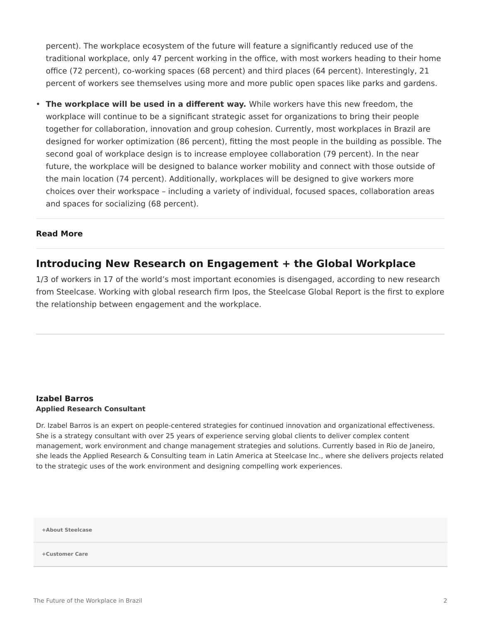percent). The workplace ecosystem of the future will feature a significantly reduced use of the traditional workplace, only 47 percent working in the office, with most workers heading to their home office (72 percent), co-working spaces (68 percent) and third places (64 percent). Interestingly, 21 percent of workers see themselves using more and more public open spaces like parks and gardens.

• **The workplace will be used in a different way.** While workers have this new freedom, the workplace will continue to be a significant strategic asset for organizations to bring their people together for collaboration, innovation and group cohesion. Currently, most workplaces in Brazil are designed for worker optimization (86 percent), fitting the most people in the building as possible. The second goal of workplace design is to increase employee collaboration (79 percent). In the near future, the workplace will be designed to balance worker mobility and connect with those outside of the main location (74 percent). Additionally, workplaces will be designed to give workers more choices over their workspace – including a variety of individual, focused spaces, collaboration areas and spaces for socializing (68 percent).

#### **Read More**

### **Introducing New Research on Engagement + the Global Workplace**

1/3 of workers in 17 of the world's most important economies is disengaged, according to new research from Steelcase. Working with global research firm Ipos, the Steelcase Global Report is the first to explore the relationship between engagement and the workplace.

#### **[Izabel Barros](https://www.steelcase.com/research/articles/author/izabel-barros/) Applied Research Consultant**

Dr. Izabel Barros is an expert on people-centered strategies for continued innovation and organizational effectiveness. She is a strategy consultant with over 25 years of experience serving global clients to deliver complex content management, work environment and change management strategies and solutions. Currently based in Rio de Janeiro, she leads the Applied Research & Consulting team in Latin America at Steelcase Inc., where she delivers projects related to the strategic uses of the work environment and designing compelling work experiences.

**[+About Steelcase](https://www.steelcase.com/discover/steelcase/our-company/)**

**[+Customer Care](#page-0-0)**